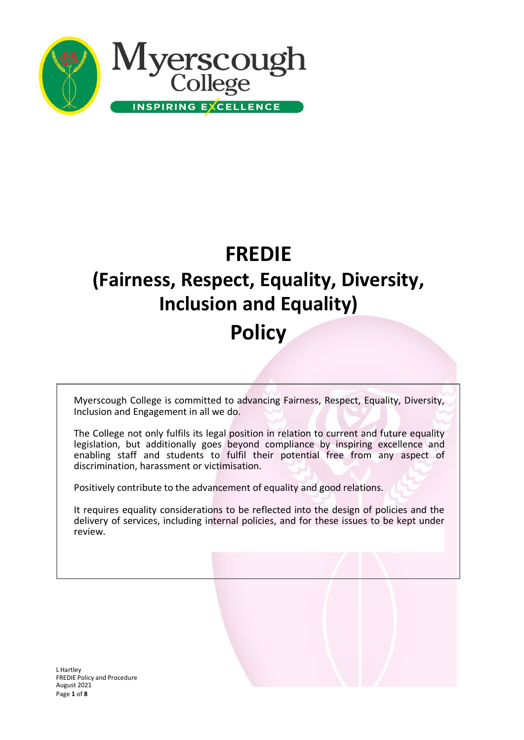

# **FREDIE**

## **(Fairness, Respect, Equality, Diversity, Inclusion and Equality) Policy**

Myerscough College is committed to advancing Fairness, Respect, Equality, Diversity, Inclusion and Engagement in all we do.

The College not only fulfils its legal position in relation to current and future equality legislation, but additionally goes beyond compliance by inspiring excellence and enabling staff and students to fulfil their potential free from any aspect of discrimination, harassment or victimisation.

Positively contribute to the advancement of equality and good relations.

It requires equality considerations to be reflected into the design of policies and the delivery of services, including internal policies, and for these issues to be kept under review.

L Hartley FREDIE Policy and Procedure August 2021 Page **1** of **8**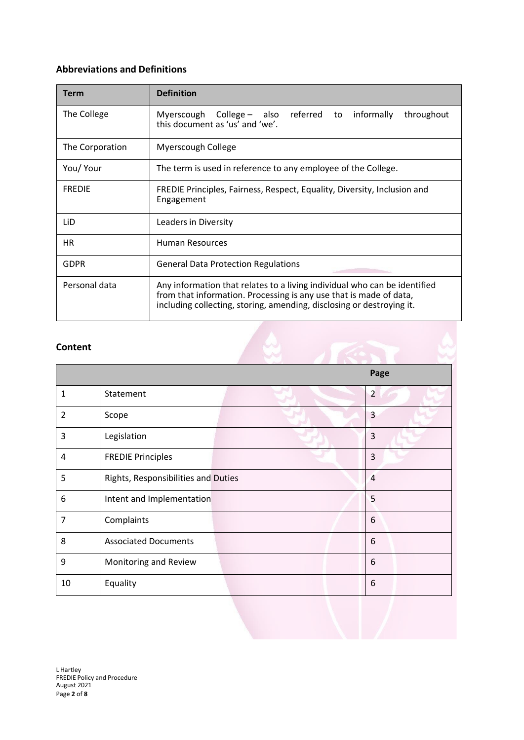## **Abbreviations and Definitions**

| <b>Term</b>     | <b>Definition</b>                                                                                                                                                                                                        |  |  |  |
|-----------------|--------------------------------------------------------------------------------------------------------------------------------------------------------------------------------------------------------------------------|--|--|--|
| The College     | Myerscough College - also referred to<br>informally<br>throughout<br>this document as 'us' and 'we'.                                                                                                                     |  |  |  |
| The Corporation | Myerscough College                                                                                                                                                                                                       |  |  |  |
| You/ Your       | The term is used in reference to any employee of the College.                                                                                                                                                            |  |  |  |
| <b>FREDIE</b>   | FREDIE Principles, Fairness, Respect, Equality, Diversity, Inclusion and<br>Engagement                                                                                                                                   |  |  |  |
| LiD             | Leaders in Diversity                                                                                                                                                                                                     |  |  |  |
| <b>HR</b>       | Human Resources                                                                                                                                                                                                          |  |  |  |
| <b>GDPR</b>     | <b>General Data Protection Regulations</b>                                                                                                                                                                               |  |  |  |
| Personal data   | Any information that relates to a living individual who can be identified<br>from that information. Processing is any use that is made of data,<br>including collecting, storing, amending, disclosing or destroying it. |  |  |  |

### **Content**

|                |                                     | Page           |
|----------------|-------------------------------------|----------------|
| 1              | Statement                           | $\overline{2}$ |
| $\overline{2}$ | Scope                               | 3              |
| 3              | Legislation                         | 3              |
| 4              | <b>FREDIE Principles</b>            | 3              |
| 5              | Rights, Responsibilities and Duties | 4              |
| 6              | Intent and Implementation           | 5              |
| 7              | Complaints                          | 6              |
| 8              | <b>Associated Documents</b>         | 6              |
| 9              | Monitoring and Review               | 6              |
| 10             | Equality                            | 6              |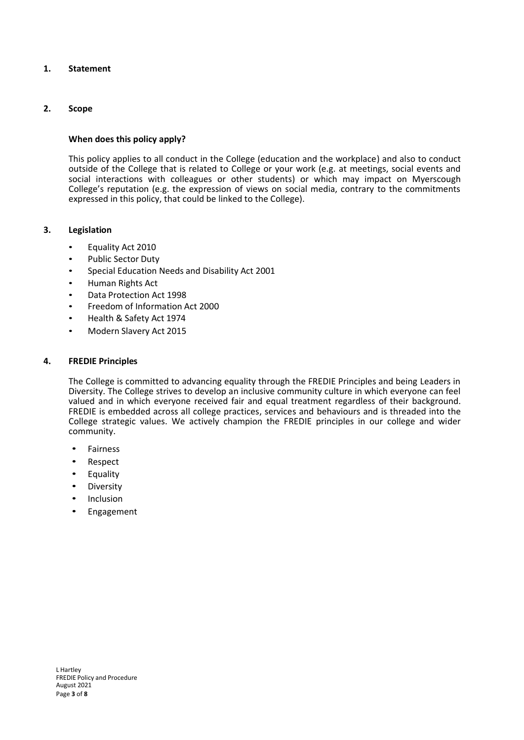#### **1. Statement**

#### **2. Scope**

#### **When does this policy apply?**

This policy applies to all conduct in the College (education and the workplace) and also to conduct outside of the College that is related to College or your work (e.g. at meetings, social events and social interactions with colleagues or other students) or which may impact on Myerscough College's reputation (e.g. the expression of views on social media, contrary to the commitments expressed in this policy, that could be linked to the College).

#### **3. Legislation**

- Equality Act 2010
- Public Sector Duty
- Special Education Needs and Disability Act 2001
- Human Rights Act
- Data Protection Act 1998
- Freedom of Information Act 2000
- Health & Safety Act 1974
- Modern Slavery Act 2015

#### **4. FREDIE Principles**

The College is committed to advancing equality through the FREDIE Principles and being Leaders in Diversity. The College strives to develop an inclusive community culture in which everyone can feel valued and in which everyone received fair and equal treatment regardless of their background. FREDIE is embedded across all college practices, services and behaviours and is threaded into the College strategic values. We actively champion the FREDIE principles in our college and wider community.

- Fairness
- Respect
- **Equality**
- **Diversity**
- **Inclusion**
- Engagement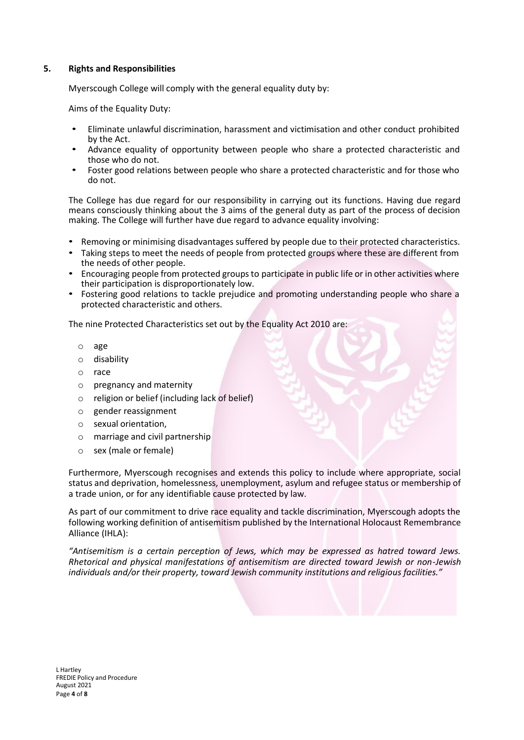#### **5. Rights and Responsibilities**

Myerscough College will comply with the general equality duty by:

Aims of the Equality Duty:

- Eliminate unlawful discrimination, harassment and victimisation and other conduct prohibited by the Act.
- Advance equality of opportunity between people who share a protected characteristic and those who do not.
- Foster good relations between people who share a protected characteristic and for those who do not.

The College has due regard for our responsibility in carrying out its functions. Having due regard means consciously thinking about the 3 aims of the general duty as part of the process of decision making. The College will further have due regard to advance equality involving:

- Removing or minimising disadvantages suffered by people due to their protected characteristics.
- Taking steps to meet the needs of people from protected groups where these are different from the needs of other people.
- Encouraging people from protected groups to participate in public life or in other activities where their participation is disproportionately low.
- Fostering good relations to tackle prejudice and promoting understanding people who share a protected characteristic and others.

The nine Protected Characteristics set out by the Equality Act 2010 are:

- o age
- o disability
- o race
- o pregnancy and maternity
- o religion or belief (including lack of belief)
- o gender reassignment
- o sexual orientation,
- o marriage and civil partnership
- o sex (male or female)

Furthermore, Myerscough recognises and extends this policy to include where appropriate, social status and deprivation, homelessness, unemployment, asylum and refugee status or membership of a trade union, or for any identifiable cause protected by law.

As part of our commitment to drive race equality and tackle discrimination, Myerscough adopts the following working definition of antisemitism published by the International Holocaust Remembrance Alliance (IHLA):

*"Antisemitism is a certain perception of Jews, which may be expressed as hatred toward Jews. Rhetorical and physical manifestations of antisemitism are directed toward Jewish or non-Jewish individuals and/or their property, toward Jewish community institutions and religious facilities."*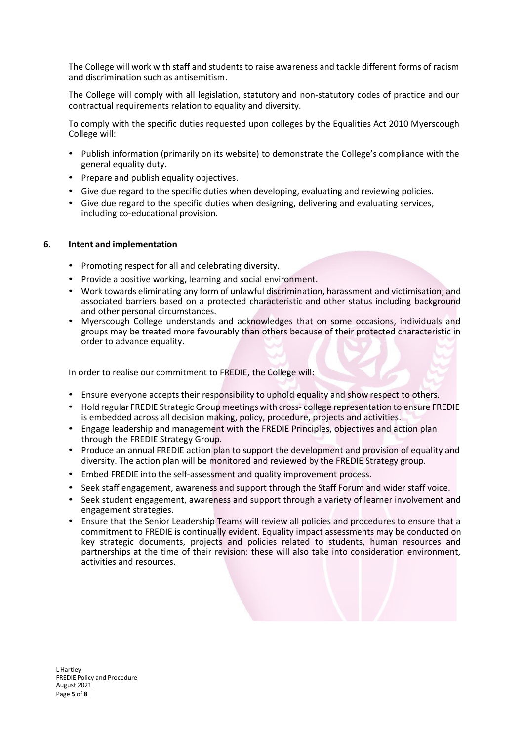The College will work with staff and students to raise awareness and tackle different forms of racism and discrimination such as antisemitism.

The College will comply with all legislation, statutory and non-statutory codes of practice and our contractual requirements relation to equality and diversity.

To comply with the specific duties requested upon colleges by the Equalities Act 2010 Myerscough College will:

- Publish information (primarily on its website) to demonstrate the College's compliance with the general equality duty.
- Prepare and publish equality objectives.
- Give due regard to the specific duties when developing, evaluating and reviewing policies.
- Give due regard to the specific duties when designing, delivering and evaluating services, including co-educational provision.

#### **6. Intent and implementation**

- Promoting respect for all and celebrating diversity.
- Provide a positive working, learning and social environment.
- Work towards eliminating any form of unlawful discrimination, harassment and victimisation; and associated barriers based on a protected characteristic and other status including background and other personal circumstances.
- Myerscough College understands and acknowledges that on some occasions, individuals and groups may be treated more favourably than others because of their protected characteristic in order to advance equality.

In order to realise our commitment to FREDIE, the College will:

- Ensure everyone accepts their responsibility to uphold equality and show respect to others.
- Hold regular FREDIE Strategic Groupmeetings with cross- college representation to ensure FREDIE is embedded across all decision making, policy, procedure, projects and activities.
- Engage leadership and management with the FREDIE Principles, objectives and action plan through the FREDIE Strategy Group.
- Produce an annual FREDIE action plan to support the development and provision of equality and diversity. The action plan will be monitored and reviewed by the FREDIE Strategy group.
- Embed FREDIE into the self-assessment and quality improvement process.
- Seek staff engagement, awareness and support through the Staff Forum and wider staff voice.
- Seek student engagement, awareness and support through a variety of learner involvement and engagement strategies.
- Ensure that the Senior Leadership Teams will review all policies and procedures to ensure that a commitment to FREDIE is continually evident. Equality impact assessments may be conducted on key strategic documents, projects and policies related to students, human resources and partnerships at the time of their revision: these will also take into consideration environment, activities and resources.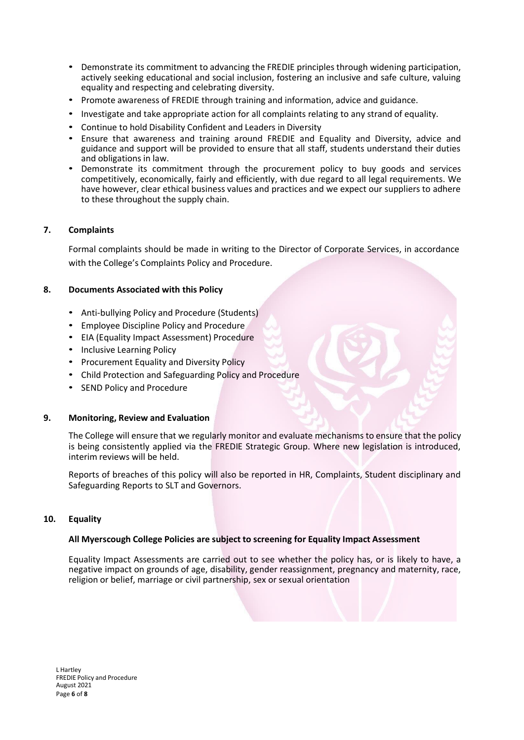- Demonstrate its commitment to advancing the FREDIE principles through widening participation, actively seeking educational and social inclusion, fostering an inclusive and safe culture, valuing equality and respecting and celebrating diversity.
- Promote awareness of FREDIE through training and information, advice and guidance.
- Investigate and take appropriate action for all complaints relating to any strand of equality.
- Continue to hold Disability Confident and Leaders in Diversity
- Ensure that awareness and training around FREDIE and Equality and Diversity, advice and guidance and support will be provided to ensure that all staff, students understand their duties and obligations in law.
- Demonstrate its commitment through the procurement policy to buy goods and services competitively, economically, fairly and efficiently, with due regard to all legal requirements. We have however, clear ethical business values and practices and we expect our suppliers to adhere to these throughout the supply chain.

#### **7. Complaints**

Formal complaints should be made in writing to the Director of Corporate Services, in accordance with the College's Complaints Policy and Procedure.

#### **8. Documents Associated with this Policy**

- Anti-bullying Policy and Procedure (Students)
- Employee Discipline Policy and Procedure
- EIA (Equality Impact Assessment) Procedure
- Inclusive Learning Policy
- Procurement Equality and Diversity Policy
- Child Protection and Safeguarding Policy and Procedure
- SEND Policy and Procedure

#### **9. Monitoring, Review and Evaluation**

The College will ensure that we regularly monitor and evaluate mechanisms to ensure that the policy is being consistently applied via the FREDIE Strategic Group. Where new legislation is introduced, interim reviews will be held.

Reports of breaches of this policy will also be reported in HR, Complaints, Student disciplinary and Safeguarding Reports to SLT and Governors.

#### **10. Equality**

#### **All Myerscough College Policies are subject to screening for Equality Impact Assessment**

Equality Impact Assessments are carried out to see whether the policy has, or is likely to have, a negative impact on grounds of age, disability, gender reassignment, pregnancy and maternity, race, religion or belief, marriage or civil partnership, sex or sexual orientation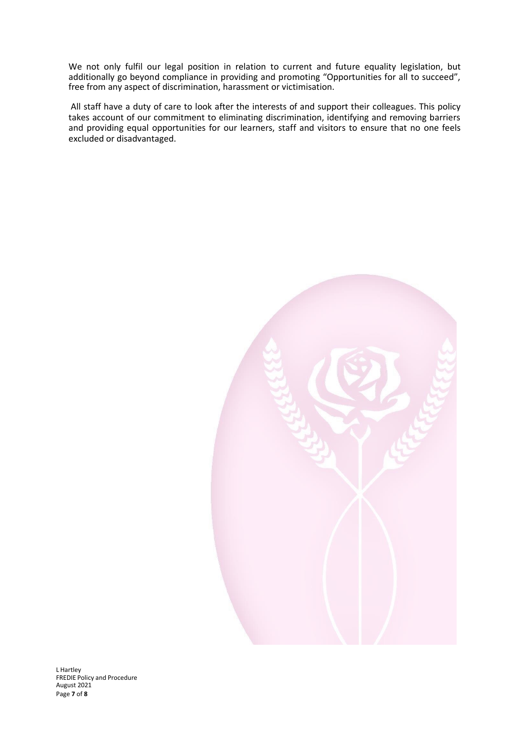We not only fulfil our legal position in relation to current and future equality legislation, but additionally go beyond compliance in providing and promoting "Opportunities for all to succeed", free from any aspect of discrimination, harassment or victimisation.

All staff have a duty of care to look after the interests of and support their colleagues. This policy takes account of our commitment to eliminating discrimination, identifying and removing barriers and providing equal opportunities for our learners, staff and visitors to ensure that no one feels excluded or disadvantaged.



L Hartley FREDIE Policy and Procedure August 2021 Page **7** of **8**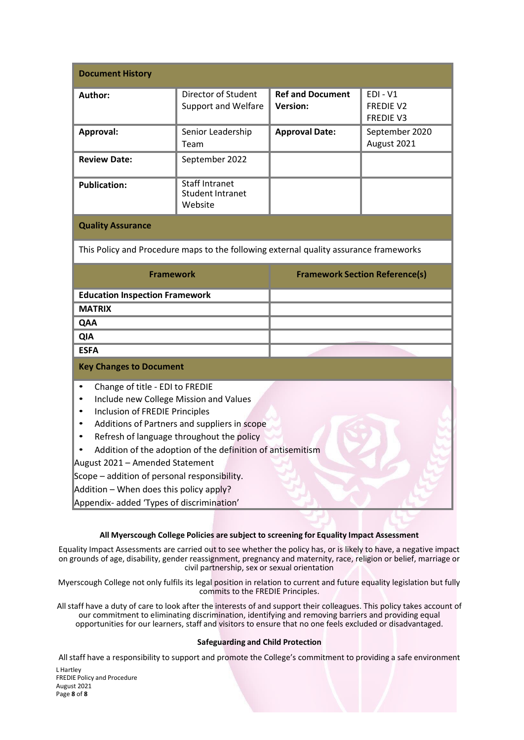| <b>Document History</b> |                                                      |                                            |                                                    |  |  |
|-------------------------|------------------------------------------------------|--------------------------------------------|----------------------------------------------------|--|--|
| Author:                 | Director of Student<br><b>Support and Welfare</b>    | <b>Ref and Document</b><br><b>Version:</b> | $EDI - V1$<br><b>FREDIE V2</b><br><b>FREDIE V3</b> |  |  |
| Approval:               | Senior Leadership<br>Team                            | <b>Approval Date:</b>                      | September 2020<br>August 2021                      |  |  |
| <b>Review Date:</b>     | September 2022                                       |                                            |                                                    |  |  |
| <b>Publication:</b>     | <b>Staff Intranet</b><br>Student Intranet<br>Website |                                            |                                                    |  |  |

#### **Quality Assurance**

This Policy and Procedure maps to the following external quality assurance frameworks

| <b>Framework</b>                                                                                                                                                                                                                                                                                                                                                                                                                                  | <b>Framework Section Reference(s)</b> |  |  |  |
|---------------------------------------------------------------------------------------------------------------------------------------------------------------------------------------------------------------------------------------------------------------------------------------------------------------------------------------------------------------------------------------------------------------------------------------------------|---------------------------------------|--|--|--|
| <b>Education Inspection Framework</b>                                                                                                                                                                                                                                                                                                                                                                                                             |                                       |  |  |  |
| <b>MATRIX</b>                                                                                                                                                                                                                                                                                                                                                                                                                                     |                                       |  |  |  |
| QAA                                                                                                                                                                                                                                                                                                                                                                                                                                               |                                       |  |  |  |
| <b>QIA</b>                                                                                                                                                                                                                                                                                                                                                                                                                                        |                                       |  |  |  |
| <b>ESFA</b>                                                                                                                                                                                                                                                                                                                                                                                                                                       |                                       |  |  |  |
| <b>Key Changes to Document</b>                                                                                                                                                                                                                                                                                                                                                                                                                    |                                       |  |  |  |
| Change of title - EDI to FREDIE<br>Include new College Mission and Values<br>Inclusion of FREDIE Principles<br>Additions of Partners and suppliers in scope<br>Refresh of language throughout the policy<br>Addition of the adoption of the definition of antisemitism<br>August 2021 - Amended Statement<br>Scope – addition of personal responsibility.<br>Addition – When does this policy apply?<br>Appendix- added 'Types of discrimination' |                                       |  |  |  |

#### **All Myerscough College Policies are subject to screening for Equality Impact Assessment**

Equality Impact Assessments are carried out to see whether the policy has, or is likely to have, a negative impact on grounds of age, disability, gender reassignment, pregnancy and maternity, race, religion or belief, marriage or civil partnership, sex or sexual orientation

Myerscough College not only fulfils its legal position in relation to current and future equality legislation but fully commits to the FREDIE Principles.

All staff have a duty of care to look after the interests of and support their colleagues. This policy takes account of our commitment to eliminating discrimination, identifying and removing barriers and providing equal opportunities for our learners, staff and visitors to ensure that no one feels excluded or disadvantaged.

#### **Safeguarding and Child Protection**

All staff have a responsibility to support and promote the College's commitment to providing a safe environment

L Hartley FREDIE Policy and Procedure August 2021 Page **8** of **8**